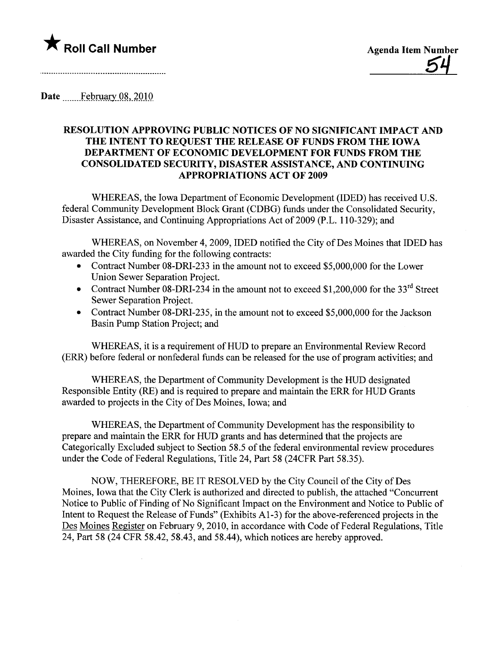

Date February 08, 2010

## RESOLUTION APPROVING PUBLIC NOTICES OF NO SIGNIFICANT IMPACT AND THE INTENT TO REQUEST THE RELEASE OF FUNDS FROM THE IOWA DEPARTMENT OF ECONOMIC DEVELOPMENT FOR FUNDS FROM THE CONSOLIDATED SECURITY, DISASTER ASSISTANCE, AND CONTINUING APPROPRIATIONS ACT OF 2009

WHEREAS, the Iowa Department of Economic Development (IDED) has received U.S. federal Community Development Block Grant (CDBG) fuds under the Consolidated Securty, Disaster Assistance, and Continuing Appropriations Act of 2009 (P.L. 110-329); and

WHEREAS, on November 4,2009, IDED notified the City of Des Moines that IDED has awarded the City funding for the following contracts:

- Contract Number 08-DRI-233 in the amount not to exceed \$5,000,000 for the Lower Union Sewer Separation Project.
- Contract Number 08-DRI-234 in the amount not to exceed \$1,200,000 for the 33<sup>rd</sup> Street Sewer Separation Project.
- Contract Number 08-DRI-235, in the amount not to exceed \$5,000,000 for the Jackson Basin Pump Station Project; and

WHEREAS, it is a requirement of HUD to prepare an Environmental Review Record (ERR) before federal or nonfederal funds can be released for the use of program activities; and

WHEREAS, the Department of Community Development is the HUD designated Responsible Entity (RE) and is required to prepare and maintain the ERR for HUD Grants awarded to projects in the City of Des Moines, Iowa; and

WHEREAS, the Department of Community Development has the responsibility to prepare and maintain the ERR for HUD grants and has determined that the projects are Categorically Excluded subject to Section 58.5 of the federal environmental review procedures under the Code of Federal Regulations, Title 24, Part 58 (24CFR Part 58.35).

NOW, THEREFORE, BE IT RESOLVED by the City Council of the City of Des Moines, Iowa that the City Clerk is authorized and directed to publish, the attached "Concurrent Notice to Public of Finding of No Significant Impact on the Environment and Notice to Public of Intent to Request the Release of Funds" (Exhibits Al-3) for the above-referenced projects in the Des Moines Register on February 9,2010, in accordance with Code of Federal Regulations, Title 24, Part 58 (24 CFR 58.42, 58.43, and 58.44), which notices are hereby approved.